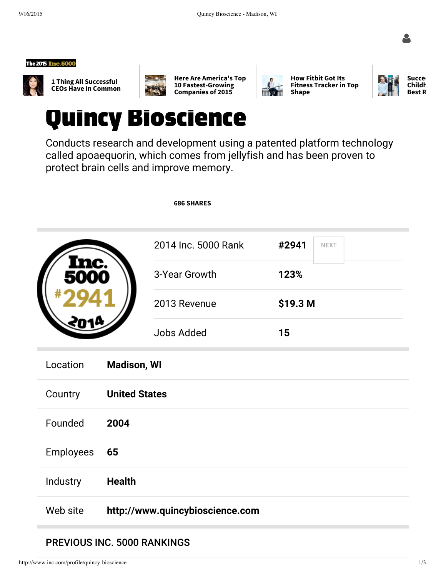





1 Thing All Successful CEOs Have in Common







How Fitbit Got Its Fitness Tracker in Top Shape



## Quincy Bioscience

Conducts research and development using a patented platform technology called apoaequorin, which comes from jellyfish and has been proven to protect brain cells and improve memory.

|                  |                      | <b>686 SHARES</b>               |                      |  |
|------------------|----------------------|---------------------------------|----------------------|--|
|                  |                      | 2014 Inc. 5000 Rank             | #2941<br><b>NEXT</b> |  |
|                  |                      | 3-Year Growth                   | 123%                 |  |
|                  |                      | 2013 Revenue                    | \$19.3 M             |  |
|                  |                      | <b>Jobs Added</b>               | 15                   |  |
| Location         | <b>Madison, WI</b>   |                                 |                      |  |
| Country          | <b>United States</b> |                                 |                      |  |
| Founded          | 2004                 |                                 |                      |  |
| <b>Employees</b> | 65                   |                                 |                      |  |
| Industry         | <b>Health</b>        |                                 |                      |  |
| Web site         |                      | http://www.quincybioscience.com |                      |  |

### PREVIOUS INC. 5000 RANKINGS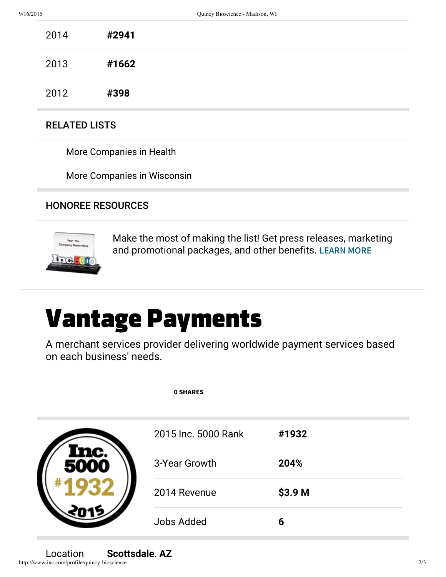| 2014 | #2941 |  |
|------|-------|--|
| 2013 | #1662 |  |
| 2012 | #398  |  |

#### RELATED LISTS

More Companies in Health

More Companies in Wisconsin

#### HONOREE RESOURCES



Make the most of making the list! Get press releases, marketing and promotional packages, and other benefits. LEARN MORE

# Vantage Payments

A merchant services provider delivering worldwide payment services based on each business' needs.

| <b>0 SHARES</b>     |         |
|---------------------|---------|
| 2015 Inc. 5000 Rank | #1932   |
| 3-Year Growth       | 204%    |
| 2014 Revenue        | \$3.9 M |
| <b>Jobs Added</b>   | 6       |